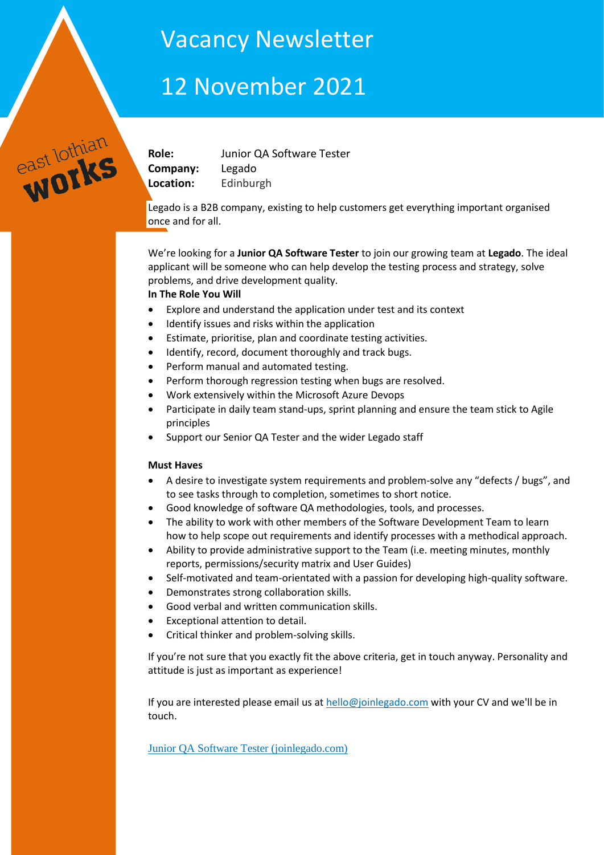# Vacancy Newsletter

# 12 November 2021

**Company:** Legado **Location:** Edinburgh

east lothian

**Role:** Junior QA Software Tester

Legado is a B2B company, existing to help customers get everything important organised once and for all.

We're looking for a **Junior QA Software Tester** to join our growing team at **Legado**. The ideal applicant will be someone who can help develop the testing process and strategy, solve problems, and drive development quality.

# **In The Role You Will**

- Explore and understand the application under test and its context
- Identify issues and risks within the application
- Estimate, prioritise, plan and coordinate testing activities.
- Identify, record, document thoroughly and track bugs.
- Perform manual and automated testing.
- Perform thorough regression testing when bugs are resolved.
- Work extensively within the Microsoft Azure Devops
- Participate in daily team stand-ups, sprint planning and ensure the team stick to Agile principles
- Support our Senior QA Tester and the wider Legado staff

# **Must Haves**

- A desire to investigate system requirements and problem-solve any "defects / bugs", and to see tasks through to completion, sometimes to short notice.
- Good knowledge of software QA methodologies, tools, and processes.
- The ability to work with other members of the Software Development Team to learn how to help scope out requirements and identify processes with a methodical approach.
- Ability to provide administrative support to the Team (i.e. meeting minutes, monthly reports, permissions/security matrix and User Guides)
- Self-motivated and team-orientated with a passion for developing high-quality software.
- Demonstrates strong collaboration skills.
- Good verbal and written communication skills.
- Exceptional attention to detail.
- Critical thinker and problem-solving skills.

If you're not sure that you exactly fit the above criteria, get in touch anyway. Personality and attitude is just as important as experience!

If you are interested please email us at [hello@joinlegado.com](mailto:hello@joinlegado.com) with your CV and we'll be in touch.

[Junior QA Software Tester \(joinlegado.com\)](https://www.joinlegado.com/careers/technology/junior-qa-software-tester/)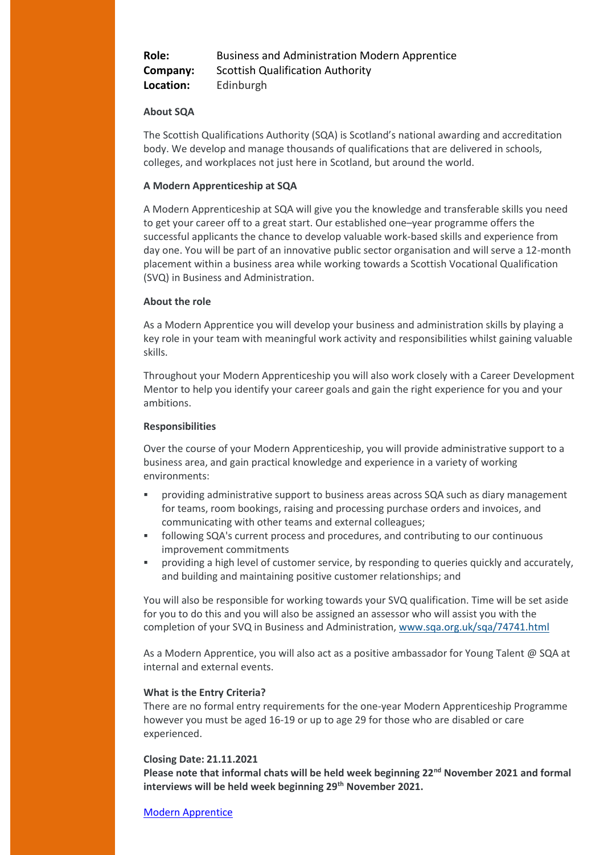**Role:** Business and Administration Modern Apprentice **Company:** Scottish Qualification Authority **Location:** Edinburgh

# **About SQA**

The Scottish Qualifications Authority (SQA) is Scotland's national awarding and accreditation body. We develop and manage thousands of qualifications that are delivered in schools, colleges, and workplaces not just here in Scotland, but around the world.

# **A Modern Apprenticeship at SQA**

A Modern Apprenticeship at SQA will give you the knowledge and transferable skills you need to get your career off to a great start. Our established one–year programme offers the successful applicants the chance to develop valuable work-based skills and experience from day one. You will be part of an innovative public sector organisation and will serve a 12-month placement within a business area while working towards a Scottish Vocational Qualification (SVQ) in Business and Administration.

#### **About the role**

As a Modern Apprentice you will develop your business and administration skills by playing a key role in your team with meaningful work activity and responsibilities whilst gaining valuable skills.

Throughout your Modern Apprenticeship you will also work closely with a Career Development Mentor to help you identify your career goals and gain the right experience for you and your ambitions.

#### **Responsibilities**

Over the course of your Modern Apprenticeship, you will provide administrative support to a business area, and gain practical knowledge and experience in a variety of working environments:

- providing administrative support to business areas across SQA such as diary management for teams, room bookings, raising and processing purchase orders and invoices, and communicating with other teams and external colleagues;
- following SQA's current process and procedures, and contributing to our continuous improvement commitments
- providing a high level of customer service, by responding to queries quickly and accurately, and building and maintaining positive customer relationships; and

You will also be responsible for working towards your SVQ qualification. Time will be set aside for you to do this and you will also be assigned an assessor who will assist you with the completion of your SVQ in Business and Administration, [www.sqa.org.uk/sqa/74741.html](http://www.sqa.org.uk/sqa/74741.html)

As a Modern Apprentice, you will also act as a positive ambassador for Young Talent @ SQA at internal and external events.

# **What is the Entry Criteria?**

There are no formal entry requirements for the one-year Modern Apprenticeship Programme however you must be aged 16-19 or up to age 29 for those who are disabled or care experienced.

#### **Closing Date: 21.11.2021**

**Please note that informal chats will be held week beginning 22nd November 2021 and formal interviews will be held week beginning 29th November 2021.**

[Modern Apprentice](https://jobs.sqa.org.uk/vacancy/modern-apprentice-464687.html?dm_i=LQE,7M5K7,QDO84H,V0GXZ,1)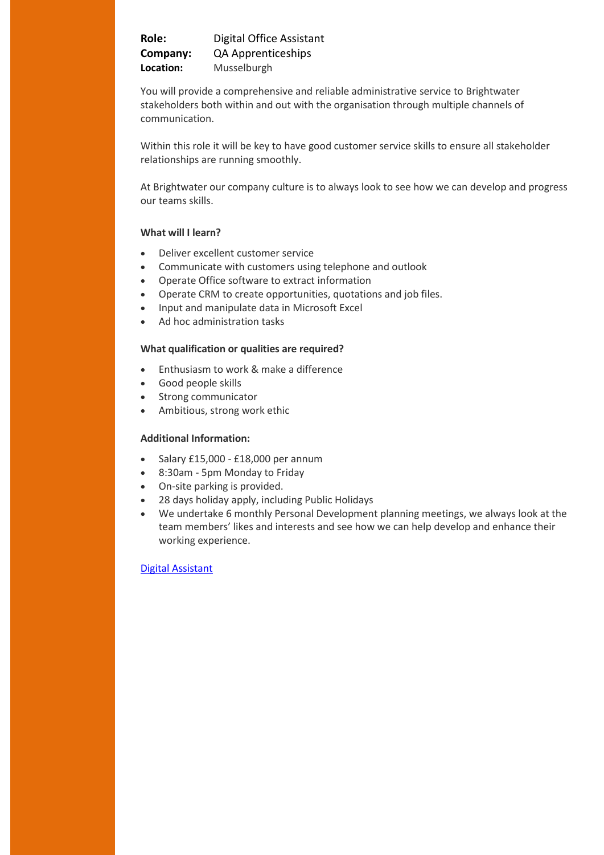**Role:** Digital Office Assistant **Company:** QA Apprenticeships **Location:** Musselburgh

You will provide a comprehensive and reliable administrative service to Brightwater stakeholders both within and out with the organisation through multiple channels of communication.

Within this role it will be key to have good customer service skills to ensure all stakeholder relationships are running smoothly.

At Brightwater our company culture is to always look to see how we can develop and progress our teams skills.

# **What will I learn?**

- Deliver excellent customer service
- Communicate with customers using telephone and outlook
- Operate Office software to extract information
- Operate CRM to create opportunities, quotations and job files.
- Input and manipulate data in Microsoft Excel
- Ad hoc administration tasks

# **What qualification or qualities are required?**

- **Enthusiasm to work & make a difference**
- Good people skills
- Strong communicator
- Ambitious, strong work ethic

# **Additional Information:**

- $\bullet$  Salary £15,000 £18,000 per annum
- 8:30am 5pm Monday to Friday
- On-site parking is provided.
- 28 days holiday apply, including Public Holidays
- We undertake 6 monthly Personal Development planning meetings, we always look at the team members' likes and interests and see how we can help develop and enhance their working experience.

# [Digital Assistant](https://eu7.advorto.com/QAApprenticeships/VacancyInformation.aspx?VId=77794&m=p&source=indeed&source=indeed&utm_source=Indeed&utm_medium=organic&utm_campaign=Indeed)